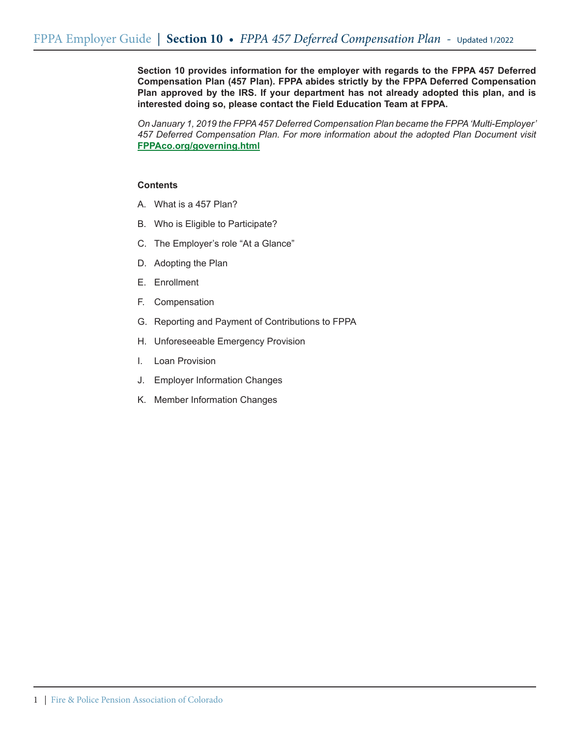**Section 10 provides information for the employer with regards to the FPPA 457 Deferred Compensation Plan (457 Plan). FPPA abides strictly by the FPPA Deferred Compensation Plan approved by the IRS. If your department has not already adopted this plan, and is interested doing so, please contact the Field Education Team at FPPA.**

*On January 1, 2019 the FPPA 457 Deferred Compensation Plan became the FPPA 'Multi-Employer' 457 Deferred Compensation Plan. For more information about the adopted Plan Document visit*  **FPPAco.org/governing.html**

### **Contents**

- A. What is a 457 Plan?
- B. Who is Eligible to Participate?
- C. The Employer's role "At a Glance"
- D. Adopting the Plan
- E. Enrollment
- F. Compensation
- G. Reporting and Payment of Contributions to FPPA
- H. Unforeseeable Emergency Provision
- I. Loan Provision
- J. Employer Information Changes
- K. Member Information Changes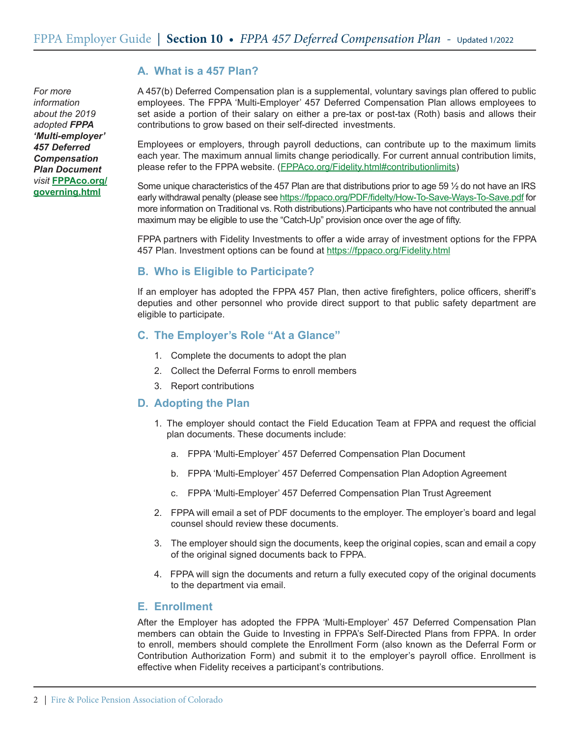*For more information about the 2019 adopted FPPA 'Multi-employer' 457 Deferred Compensation Plan Document visit* **FPPAco.org/ governing.html**

# **A. What is a 457 Plan?**

A 457(b) Deferred Compensation plan is a supplemental, voluntary savings plan offered to public employees. The FPPA 'Multi-Employer' 457 Deferred Compensation Plan allows employees to set aside a portion of their salary on either a pre-tax or post-tax (Roth) basis and allows their contributions to grow based on their self-directed investments.

Employees or employers, through payroll deductions, can contribute up to the maximum limits each year. The maximum annual limits change periodically. For current annual contribution limits, please refer to the FPPA website. (FPPAco.org/Fidelity.html#contributionlimits)

Some unique characteristics of the 457 Plan are that distributions prior to age 59 ½ do not have an IRS early withdrawal penalty (please see https://fppaco.org/PDF/fidelty/How-To-Save-Ways-To-Save.pdf for more information on Traditional vs. Roth distributions).Participants who have not contributed the annual maximum may be eligible to use the "Catch-Up" provision once over the age of fifty.

FPPA partners with Fidelity Investments to offer a wide array of investment options for the FPPA 457 Plan. Investment options can be found at https://fppaco.org/Fidelity.html

# **B. Who is Eligible to Participate?**

If an employer has adopted the FPPA 457 Plan, then active firefighters, police officers, sheriff's deputies and other personnel who provide direct support to that public safety department are eligible to participate.

## **C. The Employer's Role "At a Glance"**

- 1. Complete the documents to adopt the plan
- 2. Collect the Deferral Forms to enroll members
- 3. Report contributions

## **D. Adopting the Plan**

- 1. The employer should contact the Field Education Team at FPPA and request the official plan documents. These documents include:
	- a. FPPA 'Multi-Employer' 457 Deferred Compensation Plan Document
	- b. FPPA 'Multi-Employer' 457 Deferred Compensation Plan Adoption Agreement
	- c. FPPA 'Multi-Employer' 457 Deferred Compensation Plan Trust Agreement
- 2. FPPA will email a set of PDF documents to the employer. The employer's board and legal counsel should review these documents.
- 3. The employer should sign the documents, keep the original copies, scan and email a copy of the original signed documents back to FPPA.
- 4. FPPA will sign the documents and return a fully executed copy of the original documents to the department via email.

## **E. Enrollment**

After the Employer has adopted the FPPA 'Multi-Employer' 457 Deferred Compensation Plan members can obtain the Guide to Investing in FPPA's Self-Directed Plans from FPPA. In order to enroll, members should complete the Enrollment Form (also known as the Deferral Form or Contribution Authorization Form) and submit it to the employer's payroll office. Enrollment is effective when Fidelity receives a participant's contributions.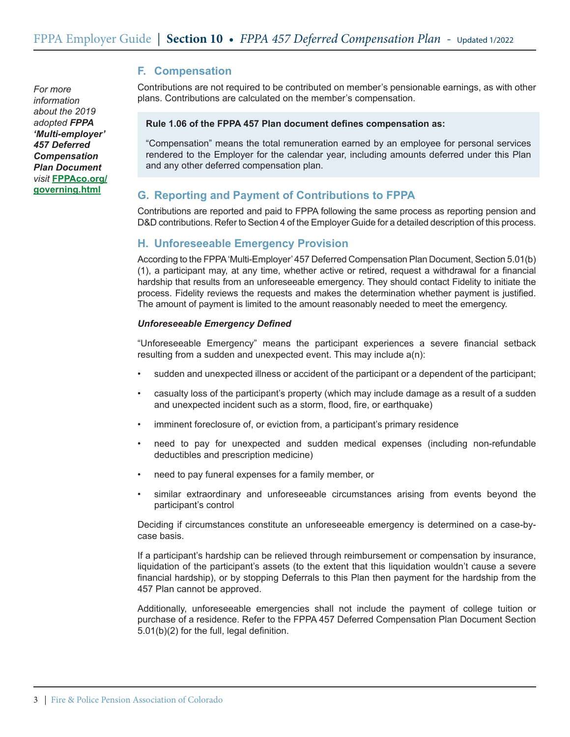*For more information about the 2019 adopted FPPA 'Multi-employer' 457 Deferred Compensation Plan Document visit* **FPPAco.org/ governing.html**

# **F. Compensation**

Contributions are not required to be contributed on member's pensionable earnings, as with other plans. Contributions are calculated on the member's compensation.

#### **Rule 1.06 of the FPPA 457 Plan document defines compensation as:**

"Compensation" means the total remuneration earned by an employee for personal services rendered to the Employer for the calendar year, including amounts deferred under this Plan and any other deferred compensation plan.

# **G. Reporting and Payment of Contributions to FPPA**

Contributions are reported and paid to FPPA following the same process as reporting pension and D&D contributions. Refer to Section 4 of the Employer Guide for a detailed description of this process.

## **H. Unforeseeable Emergency Provision**

According to the FPPA 'Multi-Employer' 457 Deferred Compensation Plan Document, Section 5.01(b) (1), a participant may, at any time, whether active or retired, request a withdrawal for a financial hardship that results from an unforeseeable emergency. They should contact Fidelity to initiate the process. Fidelity reviews the requests and makes the determination whether payment is justified. The amount of payment is limited to the amount reasonably needed to meet the emergency.

#### *Unforeseeable Emergency Defined*

"Unforeseeable Emergency" means the participant experiences a severe financial setback resulting from a sudden and unexpected event. This may include a(n):

- sudden and unexpected illness or accident of the participant or a dependent of the participant;
- casualty loss of the participant's property (which may include damage as a result of a sudden and unexpected incident such as a storm, flood, fire, or earthquake)
- imminent foreclosure of, or eviction from, a participant's primary residence
- need to pay for unexpected and sudden medical expenses (including non-refundable deductibles and prescription medicine)
- need to pay funeral expenses for a family member, or
- similar extraordinary and unforeseeable circumstances arising from events beyond the participant's control

Deciding if circumstances constitute an unforeseeable emergency is determined on a case-bycase basis.

If a participant's hardship can be relieved through reimbursement or compensation by insurance, liquidation of the participant's assets (to the extent that this liquidation wouldn't cause a severe financial hardship), or by stopping Deferrals to this Plan then payment for the hardship from the 457 Plan cannot be approved.

Additionally, unforeseeable emergencies shall not include the payment of college tuition or purchase of a residence. Refer to the FPPA 457 Deferred Compensation Plan Document Section 5.01(b)(2) for the full, legal definition.